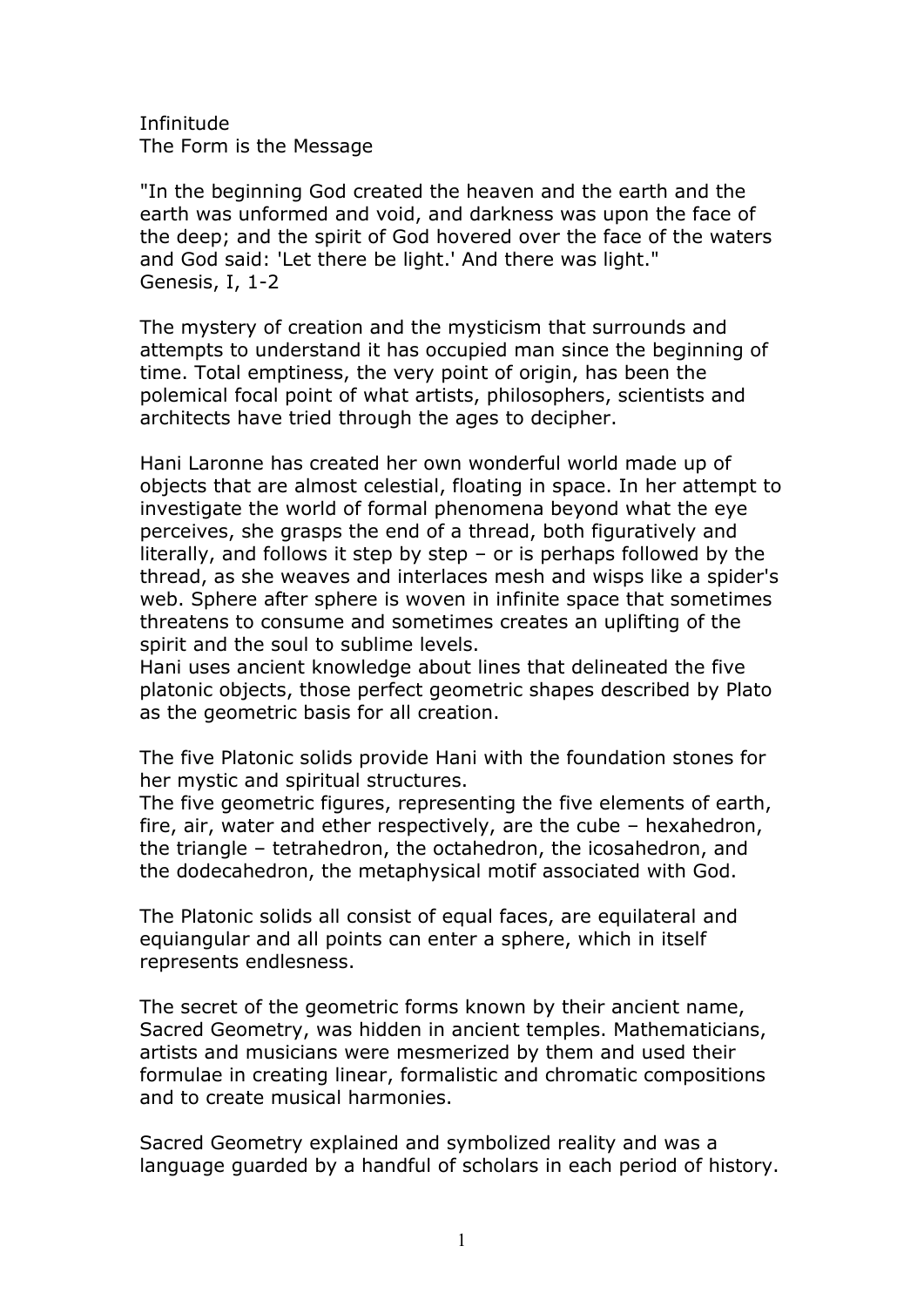Infinitude The Form is the Message

"In the beginning God created the heaven and the earth and the earth was unformed and void, and darkness was upon the face of the deep; and the spirit of God hovered over the face of the waters and God said: 'Let there be light.' And there was light." Genesis, I, 1-2

The mystery of creation and the mysticism that surrounds and attempts to understand it has occupied man since the beginning of time. Total emptiness, the very point of origin, has been the polemical focal point of what artists, philosophers, scientists and architects have tried through the ages to decipher.

Hani Laronne has created her own wonderful world made up of objects that are almost celestial, floating in space. In her attempt to investigate the world of formal phenomena beyond what the eye perceives, she grasps the end of a thread, both figuratively and literally, and follows it step by step – or is perhaps followed by the thread, as she weaves and interlaces mesh and wisps like a spider's web. Sphere after sphere is woven in infinite space that sometimes threatens to consume and sometimes creates an uplifting of the spirit and the soul to sublime levels.

Hani uses ancient knowledge about lines that delineated the five platonic objects, those perfect geometric shapes described by Plato as the geometric basis for all creation.

The five Platonic solids provide Hani with the foundation stones for her mystic and spiritual structures.

The five geometric figures, representing the five elements of earth, fire, air, water and ether respectively, are the cube – hexahedron, the triangle – tetrahedron, the octahedron, the icosahedron, and the dodecahedron, the metaphysical motif associated with God.

The Platonic solids all consist of equal faces, are equilateral and equiangular and all points can enter a sphere, which in itself represents endlesness.

The secret of the geometric forms known by their ancient name, Sacred Geometry, was hidden in ancient temples. Mathematicians, artists and musicians were mesmerized by them and used their formulae in creating linear, formalistic and chromatic compositions and to create musical harmonies.

Sacred Geometry explained and symbolized reality and was a language guarded by a handful of scholars in each period of history.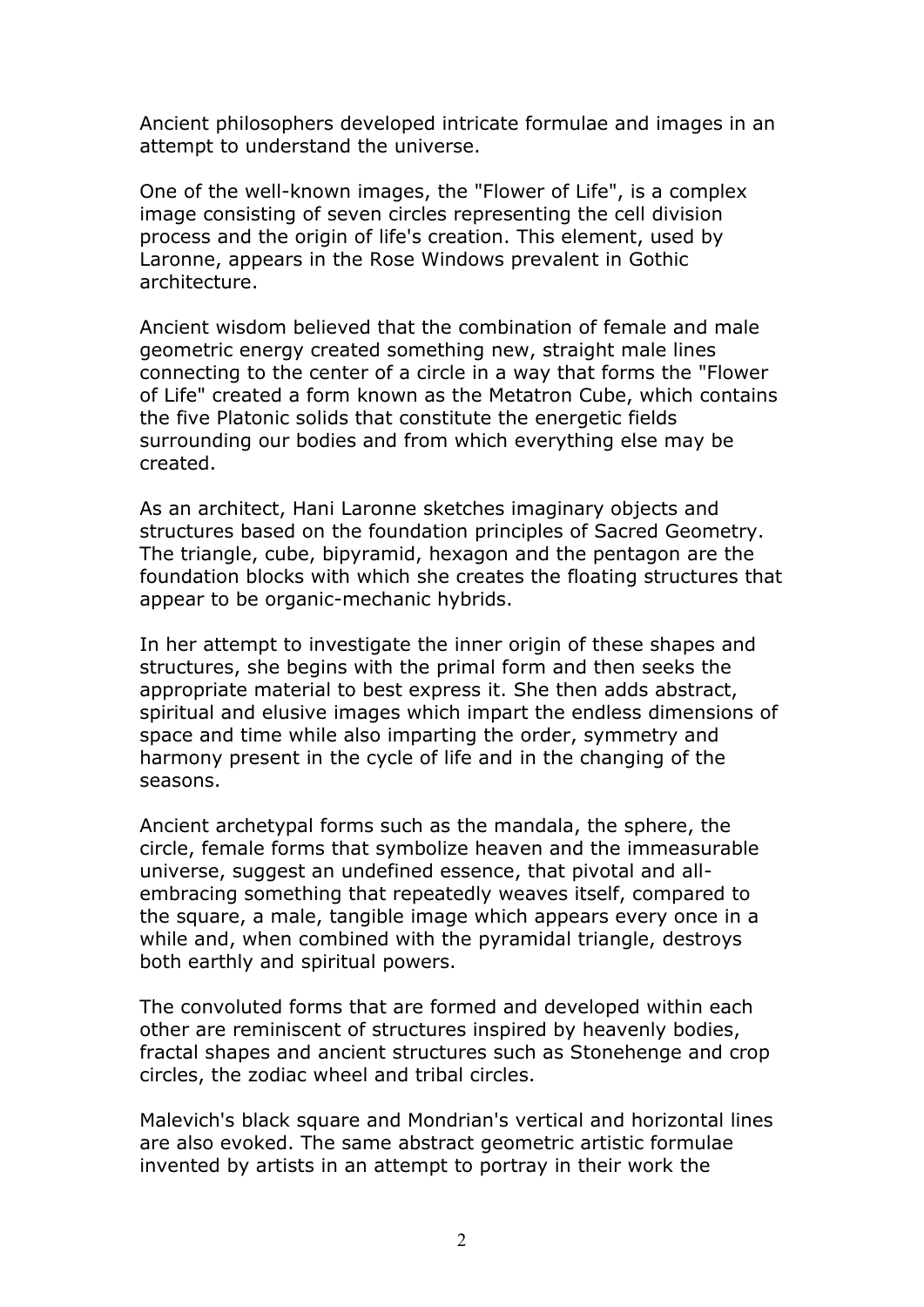Ancient philosophers developed intricate formulae and images in an attempt to understand the universe.

One of the well-known images, the "Flower of Life", is a complex image consisting of seven circles representing the cell division process and the origin of life's creation. This element, used by Laronne, appears in the Rose Windows prevalent in Gothic architecture.

Ancient wisdom believed that the combination of female and male geometric energy created something new, straight male lines connecting to the center of a circle in a way that forms the "Flower of Life" created a form known as the Metatron Cube, which contains the five Platonic solids that constitute the energetic fields surrounding our bodies and from which everything else may be created.

As an architect, Hani Laronne sketches imaginary objects and structures based on the foundation principles of Sacred Geometry. The triangle, cube, bipyramid, hexagon and the pentagon are the foundation blocks with which she creates the floating structures that appear to be organic-mechanic hybrids.

In her attempt to investigate the inner origin of these shapes and structures, she begins with the primal form and then seeks the appropriate material to best express it. She then adds abstract, spiritual and elusive images which impart the endless dimensions of space and time while also imparting the order, symmetry and harmony present in the cycle of life and in the changing of the seasons.

Ancient archetypal forms such as the mandala, the sphere, the circle, female forms that symbolize heaven and the immeasurable universe, suggest an undefined essence, that pivotal and allembracing something that repeatedly weaves itself, compared to the square, a male, tangible image which appears every once in a while and, when combined with the pyramidal triangle, destroys both earthly and spiritual powers.

The convoluted forms that are formed and developed within each other are reminiscent of structures inspired by heavenly bodies, fractal shapes and ancient structures such as Stonehenge and crop circles, the zodiac wheel and tribal circles.

Malevich's black square and Mondrian's vertical and horizontal lines are also evoked. The same abstract geometric artistic formulae invented by artists in an attempt to portray in their work the